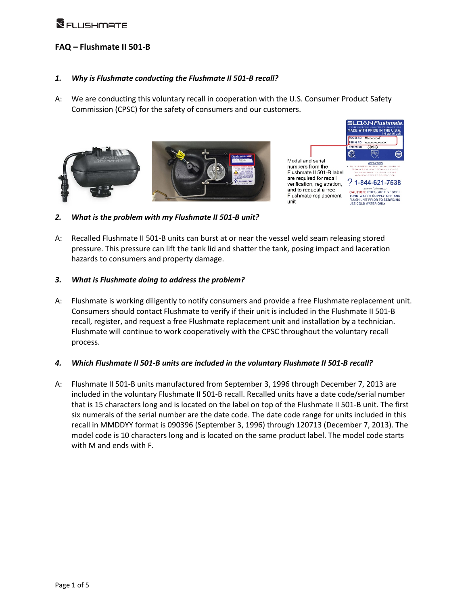### **FAQ – Flushmate II 501-B**

#### *1. Why is Flushmate conducting the Flushmate II 501-B recall?*

A: We are conducting this voluntary recall in cooperation with the U.S. Consumer Product Safety Commission (CPSC) for the safety of consumers and our customers.





unit

*2. What is the problem with my Flushmate II 501-B unit?*

A: Recalled Flushmate II 501-B units can burst at or near the vessel weld seam releasing stored pressure. This pressure can lift the tank lid and shatter the tank, posing impact and laceration hazards to consumers and property damage.

#### *3. What is Flushmate doing to address the problem?*

A: Flushmate is working diligently to notify consumers and provide a free Flushmate replacement unit. Consumers should contact Flushmate to verify if their unit is included in the Flushmate II 501-B recall, register, and request a free Flushmate replacement unit and installation by a technician. Flushmate will continue to work cooperatively with the CPSC throughout the voluntary recall process.

#### *4. Which Flushmate II 501-B units are included in the voluntary Flushmate II 501-B recall?*

A: Flushmate II 501-B units manufactured from September 3, 1996 through December 7, 2013 are included in the voluntary Flushmate II 501-B recall. Recalled units have a date code/serial number that is 15 characters long and is located on the label on top of the Flushmate II 501-B unit. The first six numerals of the serial number are the date code. The date code range for units included in this recall in MMDDYY format is 090396 (September 3, 1996) through 120713 (December 7, 2013). The model code is 10 characters long and is located on the same product label. The model code starts with M and ends with F.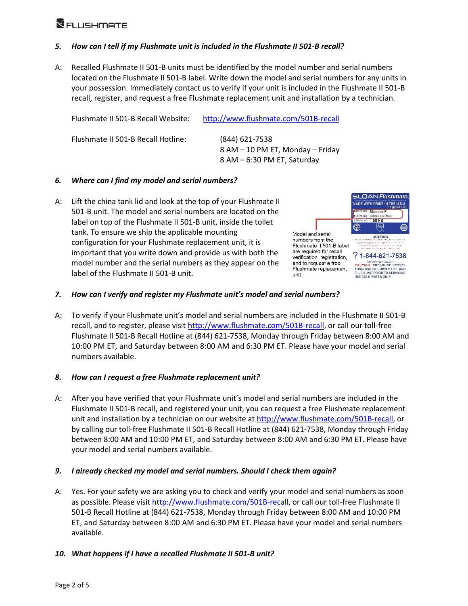#### *5. How can I tell if my Flushmate unit is included in the Flushmate II 501-B recall?*

A: Recalled Flushmate II 501-B units must be identified by the model number and serial numbers located on the Flushmate II 501-B label. Write down the model and serial numbers for any units in your possession. Immediately contact us to verify if your unit is included in the Flushmate II 501-B recall, register, and request a free Flushmate replacement unit and installation by a technician.

| Flushmate II 501-B Recall Website: | http://www.flushmate.com/501B-recall                                              |
|------------------------------------|-----------------------------------------------------------------------------------|
| Flushmate II 501-B Recall Hotline: | (844) 621-7538<br>8 AM – 10 PM ET, Monday – Friday<br>8 AM - 6:30 PM ET, Saturday |

#### *6. Where can I find my model and serial numbers?*

A: Lift the china tank lid and look at the top of your Flushmate II 501-B unit. The model and serial numbers are located on the label on top of the Flushmate II 501-B unit, inside the toilet tank. To ensure we ship the applicable mounting configuration for your Flushmate replacement unit, it is important that you write down and provide us with both the model number and the serial numbers as they appear on the label of the Flushmate II 501-B unit.



#### *7. How can I verify and register my Flushmate unit's model and serial numbers?*

A: To verify if your Flushmate unit's model and serial numbers are included in the Flushmate II 501-B recall, and to register, please visi[t http://www.flushmate.com/501B-recall,](http://www.flushmate.com/501B-recall) or call our toll-free Flushmate II 501-B Recall Hotline at (844) 621-7538, Monday through Friday between 8:00 AM and 10:00 PM ET, and Saturday between 8:00 AM and 6:30 PM ET. Please have your model and serial numbers available.

#### *8. How can I request a free Flushmate replacement unit?*

A: After you have verified that your Flushmate unit's model and serial numbers are included in the Flushmate II 501-B recall, and registered your unit, you can request a free Flushmate replacement unit and installation by a technician on our website at [http://www.flushmate.com/501B-recall,](http://www.flushmate.com/501B-recall) or by calling our toll-free Flushmate II 501-B Recall Hotline at (844) 621-7538, Monday through Friday between 8:00 AM and 10:00 PM ET, and Saturday between 8:00 AM and 6:30 PM ET. Please have your model and serial numbers available.

#### *9. I already checked my model and serial numbers. Should I check them again?*

A: Yes. For your safety we are asking you to check and verify your model and serial numbers as soon as possible. Please visit [http://www.flushmate.com/501B-recall,](http://www.flushmate.com/501B-recall) or call our toll-free Flushmate II 501-B Recall Hotline at (844) 621-7538, Monday through Friday between 8:00 AM and 10:00 PM ET, and Saturday between 8:00 AM and 6:30 PM ET. Please have your model and serial numbers available.

#### *10. What happens if I have a recalled Flushmate II 501-B unit?*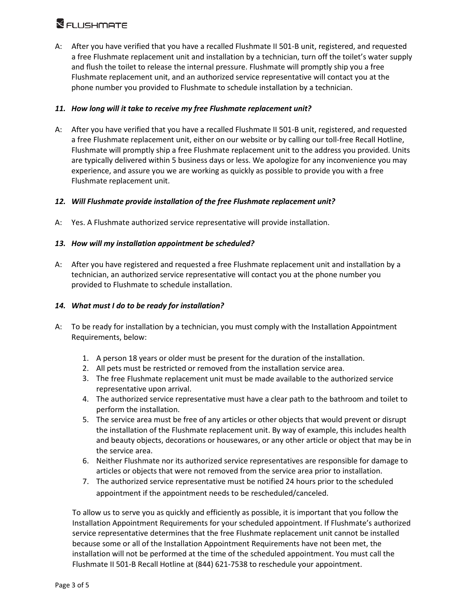# **XELLISHMATE**

A: After you have verified that you have a recalled Flushmate II 501-B unit, registered, and requested a free Flushmate replacement unit and installation by a technician, turn off the toilet's water supply and flush the toilet to release the internal pressure. Flushmate will promptly ship you a free Flushmate replacement unit, and an authorized service representative will contact you at the phone number you provided to Flushmate to schedule installation by a technician.

#### *11. How long will it take to receive my free Flushmate replacement unit?*

A: After you have verified that you have a recalled Flushmate II 501-B unit, registered, and requested a free Flushmate replacement unit, either on our website or by calling our toll-free Recall Hotline, Flushmate will promptly ship a free Flushmate replacement unit to the address you provided. Units are typically delivered within 5 business days or less. We apologize for any inconvenience you may experience, and assure you we are working as quickly as possible to provide you with a free Flushmate replacement unit.

#### *12. Will Flushmate provide installation of the free Flushmate replacement unit?*

A: Yes. A Flushmate authorized service representative will provide installation.

#### *13. How will my installation appointment be scheduled?*

A: After you have registered and requested a free Flushmate replacement unit and installation by a technician, an authorized service representative will contact you at the phone number you provided to Flushmate to schedule installation.

#### *14. What must I do to be ready for installation?*

- A: To be ready for installation by a technician, you must comply with the Installation Appointment Requirements, below:
	- 1. A person 18 years or older must be present for the duration of the installation.
	- 2. All pets must be restricted or removed from the installation service area.
	- 3. The free Flushmate replacement unit must be made available to the authorized service representative upon arrival.
	- 4. The authorized service representative must have a clear path to the bathroom and toilet to perform the installation.
	- 5. The service area must be free of any articles or other objects that would prevent or disrupt the installation of the Flushmate replacement unit. By way of example, this includes health and beauty objects, decorations or housewares, or any other article or object that may be in the service area.
	- 6. Neither Flushmate nor its authorized service representatives are responsible for damage to articles or objects that were not removed from the service area prior to installation.
	- 7. The authorized service representative must be notified 24 hours prior to the scheduled appointment if the appointment needs to be rescheduled/canceled.

To allow us to serve you as quickly and efficiently as possible, it is important that you follow the Installation Appointment Requirements for your scheduled appointment. If Flushmate's authorized service representative determines that the free Flushmate replacement unit cannot be installed because some or all of the Installation Appointment Requirements have not been met, the installation will not be performed at the time of the scheduled appointment. You must call the Flushmate II 501-B Recall Hotline at (844) 621-7538 to reschedule your appointment.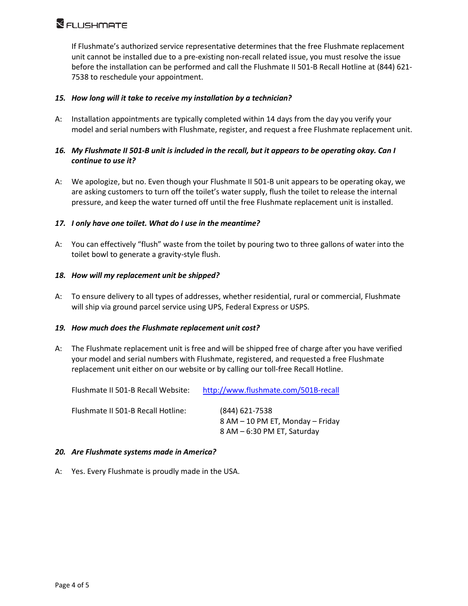If Flushmate's authorized service representative determines that the free Flushmate replacement unit cannot be installed due to a pre-existing non-recall related issue, you must resolve the issue before the installation can be performed and call the Flushmate II 501-B Recall Hotline at (844) 621- 7538 to reschedule your appointment.

#### *15. How long will it take to receive my installation by a technician?*

A: Installation appointments are typically completed within 14 days from the day you verify your model and serial numbers with Flushmate, register, and request a free Flushmate replacement unit.

#### *16. My Flushmate II 501-B unit is included in the recall, but it appears to be operating okay. Can I continue to use it?*

A: We apologize, but no. Even though your Flushmate II 501-B unit appears to be operating okay, we are asking customers to turn off the toilet's water supply, flush the toilet to release the internal pressure, and keep the water turned off until the free Flushmate replacement unit is installed.

#### *17. I only have one toilet. What do I use in the meantime?*

A: You can effectively "flush" waste from the toilet by pouring two to three gallons of water into the toilet bowl to generate a gravity-style flush.

#### *18. How will my replacement unit be shipped?*

A: To ensure delivery to all types of addresses, whether residential, rural or commercial, Flushmate will ship via ground parcel service using UPS, Federal Express or USPS.

#### *19. How much does the Flushmate replacement unit cost?*

A: The Flushmate replacement unit is free and will be shipped free of charge after you have verified your model and serial numbers with Flushmate, registered, and requested a free Flushmate replacement unit either on our website or by calling our toll-free Recall Hotline.

| Flushmate II 501-B Recall Website: | http://www.flushmate.com/501B-recall                                                |
|------------------------------------|-------------------------------------------------------------------------------------|
| Flushmate II 501-B Recall Hotline: | $(844)$ 621-7538<br>8 AM – 10 PM ET, Monday – Friday<br>8 AM - 6:30 PM ET, Saturday |

#### *20. Are Flushmate systems made in America?*

A: Yes. Every Flushmate is proudly made in the USA.